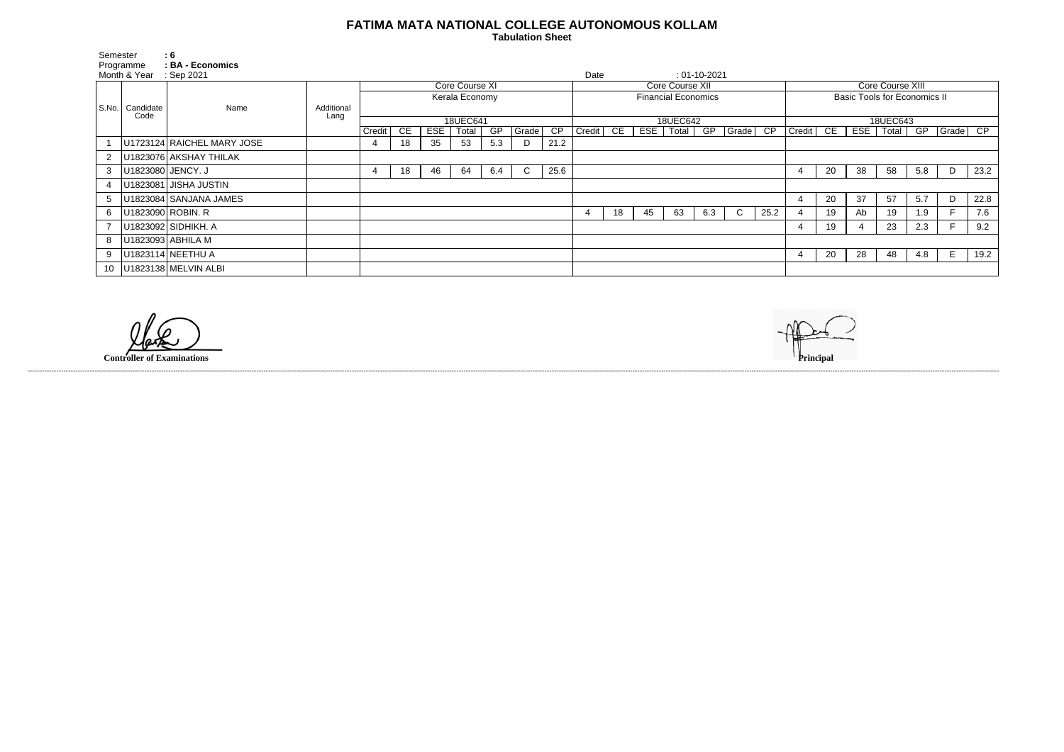## **FATIMA MATA NATIONAL COLLEGE AUTONOMOUS KOLLAM**

 **Tabulation Sheet** 

| Semester     |                   | : 6                        |                    |                |    |     |       |     |                            |                 |        |    |     |                |     |                                      |                  |               |    |     |       |     |          |      |
|--------------|-------------------|----------------------------|--------------------|----------------|----|-----|-------|-----|----------------------------|-----------------|--------|----|-----|----------------|-----|--------------------------------------|------------------|---------------|----|-----|-------|-----|----------|------|
| Programme    |                   | <b>BA - Economics</b>      |                    |                |    |     |       |     |                            |                 |        |    |     |                |     |                                      |                  |               |    |     |       |     |          |      |
| Month & Year |                   | $\therefore$ Sep 2021      |                    |                |    |     |       |     |                            | Date            |        |    |     | $: 01-10-2021$ |     |                                      |                  |               |    |     |       |     |          |      |
| S.No.        |                   |                            |                    | Core Course XI |    |     |       |     |                            | Core Course XII |        |    |     |                |     |                                      | Core Course XIII |               |    |     |       |     |          |      |
|              |                   | Name                       |                    | Kerala Economy |    |     |       |     | <b>Financial Economics</b> |                 |        |    |     |                |     | <b>Basic Tools for Economics II</b>  |                  |               |    |     |       |     |          |      |
|              | Candidate<br>Code |                            | Additional<br>Lang |                |    |     |       |     |                            |                 |        |    |     |                |     |                                      |                  |               |    |     |       |     |          |      |
|              |                   |                            |                    | 18UEC641       |    |     |       |     |                            | 18UEC642        |        |    |     |                |     |                                      | 18UEC643         |               |    |     |       |     |          |      |
|              |                   |                            |                    | Credit         | CE | ESE | Total | GP  | Grade                      | CP              | Credit | CE | ESE | Total          | GP  | $ G \overline{rade}$ $\overline{CP}$ |                  | <b>Credit</b> | CE | ESE | Total | GP  | Grade CP |      |
|              |                   | U1723124 RAICHEL MARY JOSE |                    |                | 18 | 35  | 53    | 5.3 | D                          | 21.2            |        |    |     |                |     |                                      |                  |               |    |     |       |     |          |      |
|              |                   | U1823076 AKSHAY THILAK     |                    |                |    |     |       |     |                            |                 |        |    |     |                |     |                                      |                  |               |    |     |       |     |          |      |
| 3            | U1823080 JENCY. J |                            |                    |                | 18 | 46  | 64    | 6.4 | $\mathsf{C}$               | 25.6            |        |    |     |                |     |                                      |                  | 4             | 20 | 38  | 58    | 5.8 | D        | 23.2 |
| 4            |                   | U1823081 JISHA JUSTIN      |                    |                |    |     |       |     |                            |                 |        |    |     |                |     |                                      |                  |               |    |     |       |     |          |      |
|              |                   | U1823084 SANJANA JAMES     |                    |                |    |     |       |     |                            |                 |        |    |     |                |     |                                      |                  | 4             | 20 | 37  | 57    | 5.7 | D        | 22.8 |
| 6            |                   | U1823090 ROBIN. R          |                    |                |    |     |       |     |                            |                 | 4      | 18 | 45  | 63             | 6.3 | $\mathsf{C}$                         | 25.2             | 4             | 19 | Ab  | 19    | 1.9 |          | 7.6  |
|              |                   | U1823092 SIDHIKH. A        |                    |                |    |     |       |     |                            |                 |        |    |     |                |     |                                      |                  | 4             | 19 |     | 23    | 2.3 |          | 9.2  |
| 8            |                   | U1823093 ABHILA M          |                    |                |    |     |       |     |                            |                 |        |    |     |                |     |                                      |                  |               |    |     |       |     |          |      |
| 9            |                   | U1823114 NEETHU A          |                    |                |    |     |       |     |                            |                 |        |    |     |                |     |                                      |                  | 4             | 20 | 28  | 48    | 4.8 | E        | 19.2 |
| 10           |                   | U1823138 MELVIN ALBI       |                    |                |    |     |       |     |                            |                 |        |    |     |                |     |                                      |                  |               |    |     |       |     |          |      |

------------------------------------------------------------------------------------------------------------------------------------------------------------------------------------------------------------------------------------------------------------------------------------------------------------------------------------------------------------------------------------------------------------------------

**Controller of Examinations**